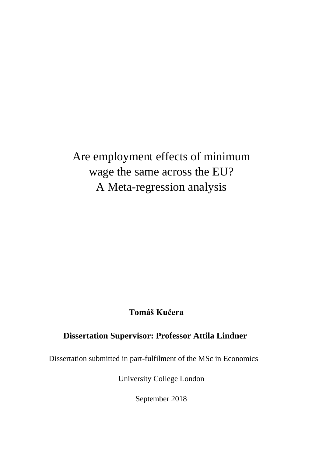Are employment effects of minimum wage the same across the EU? A Meta-regression analysis

# **Tomáš Kučera**

# **Dissertation Supervisor: Professor Attila Lindner**

Dissertation submitted in part-fulfilment of the MSc in Economics

University College London

September 2018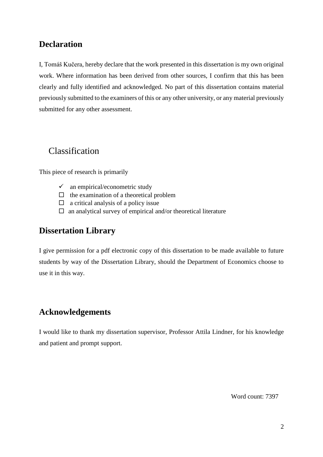# **Declaration**

I, Tomáš Kučera, hereby declare that the work presented in this dissertation is my own original work. Where information has been derived from other sources, I confirm that this has been clearly and fully identified and acknowledged. No part of this dissertation contains material previously submitted to the examiners of this or any other university, or any material previously submitted for any other assessment.

# Classification

This piece of research is primarily

- $\checkmark$  an empirical/econometric study
- $\Box$  the examination of a theoretical problem
- $\Box$  a critical analysis of a policy issue
- $\Box$  an analytical survey of empirical and/or theoretical literature

## **Dissertation Library**

I give permission for a pdf electronic copy of this dissertation to be made available to future students by way of the Dissertation Library, should the Department of Economics choose to use it in this way.

# **Acknowledgements**

I would like to thank my dissertation supervisor, Professor Attila Lindner, for his knowledge and patient and prompt support.

Word count: 7397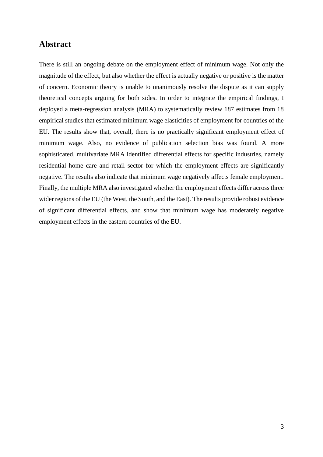## **Abstract**

There is still an ongoing debate on the employment effect of minimum wage. Not only the magnitude of the effect, but also whether the effect is actually negative or positive is the matter of concern. Economic theory is unable to unanimously resolve the dispute as it can supply theoretical concepts arguing for both sides. In order to integrate the empirical findings, I deployed a meta-regression analysis (MRA) to systematically review 187 estimates from 18 empirical studies that estimated minimum wage elasticities of employment for countries of the EU. The results show that, overall, there is no practically significant employment effect of minimum wage. Also, no evidence of publication selection bias was found. A more sophisticated, multivariate MRA identified differential effects for specific industries, namely residential home care and retail sector for which the employment effects are significantly negative. The results also indicate that minimum wage negatively affects female employment. Finally, the multiple MRA also investigated whether the employment effects differ across three wider regions of the EU (the West, the South, and the East). The results provide robust evidence of significant differential effects, and show that minimum wage has moderately negative employment effects in the eastern countries of the EU.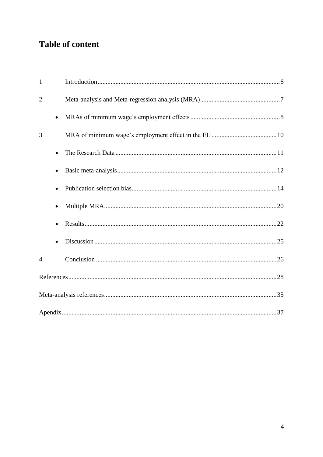# **Table of content**

| $\mathbf{1}$   |           |  |
|----------------|-----------|--|
| $\overline{2}$ |           |  |
|                | $\bullet$ |  |
| 3              |           |  |
|                | $\bullet$ |  |
|                |           |  |
|                |           |  |
|                | $\bullet$ |  |
|                |           |  |
|                |           |  |
| $\overline{4}$ |           |  |
|                |           |  |
|                |           |  |
|                |           |  |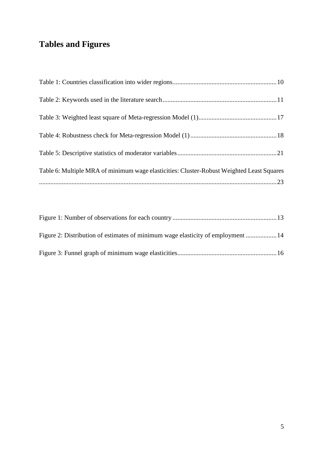# **Tables and Figures**

| Table 6: Multiple MRA of minimum wage elasticities: Cluster-Robust Weighted Least Squares |  |
|-------------------------------------------------------------------------------------------|--|
|                                                                                           |  |

| Figure 2: Distribution of estimates of minimum wage elasticity of employment  14 |  |
|----------------------------------------------------------------------------------|--|
|                                                                                  |  |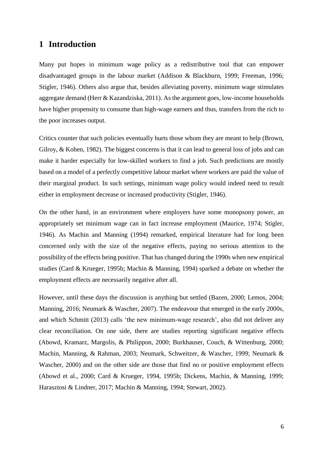## <span id="page-5-0"></span>**1 Introduction**

Many put hopes in minimum wage policy as a redistributive tool that can empower disadvantaged groups in the labour market (Addison & Blackburn, 1999; Freeman, 1996; Stigler, 1946). Others also argue that, besides alleviating poverty, minimum wage stimulates aggregate demand (Herr & Kazandziska, 2011). As the argument goes, low-income households have higher propensity to consume than high-wage earners and thus, transfers from the rich to the poor increases output.

Critics counter that such policies eventually hurts those whom they are meant to help (Brown, Gilroy, & Kohen, 1982). The biggest concerns is that it can lead to general loss of jobs and can make it harder especially for low-skilled workers to find a job. Such predictions are mostly based on a model of a perfectly competitive labour market where workers are paid the value of their marginal product. In such settings, minimum wage policy would indeed need to result either in employment decrease or increased productivity (Stigler, 1946).

On the other hand, in an environment where employers have some monopsony power, an appropriately set minimum wage can in fact increase employment (Maurice, 1974; Stigler, 1946). As Machin and Manning (1994) remarked, empirical literature had for long been concerned only with the size of the negative effects, paying no serious attention to the possibility of the effects being positive. That has changed during the 1990s when new empirical studies (Card & Krueger, 1995b; Machin & Manning, 1994) sparked a debate on whether the employment effects are necessarily negative after all.

However, until these days the discussion is anything but settled (Bazen, 2000; Lemos, 2004; Manning, 2016; Neumark & Wascher, 2007). The endeavour that emerged in the early 2000s, and which Schmitt (2013) calls 'the new minimum-wage research', also did not deliver any clear reconciliation. On one side, there are studies reporting significant negative effects (Abowd, Kramarz, Margolis, & Philippon, 2000; Burkhauser, Couch, & Wittenburg, 2000; Machin, Manning, & Rahman, 2003; Neumark, Schweitzer, & Wascher, 1999; Neumark & Wascher, 2000) and on the other side are those that find no or positive employment effects (Abowd et al., 2000; Card & Krueger, 1994, 1995b; Dickens, Machin, & Manning, 1999; Harasztosi & Lindner, 2017; Machin & Manning, 1994; Stewart, 2002).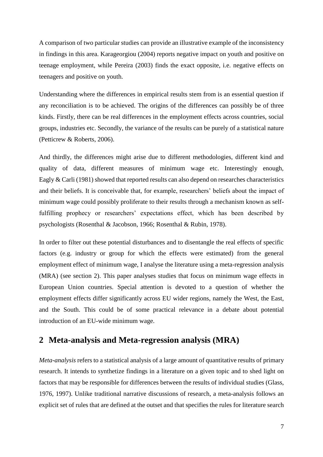A comparison of two particular studies can provide an illustrative example of the inconsistency in findings in this area. Karageorgiou (2004) reports negative impact on youth and positive on teenage employment, while Pereira (2003) finds the exact opposite, i.e. negative effects on teenagers and positive on youth.

Understanding where the differences in empirical results stem from is an essential question if any reconciliation is to be achieved. The origins of the differences can possibly be of three kinds. Firstly, there can be real differences in the employment effects across countries, social groups, industries etc. Secondly, the variance of the results can be purely of a statistical nature (Petticrew & Roberts, 2006).

And thirdly, the differences might arise due to different methodologies, different kind and quality of data, different measures of minimum wage etc. Interestingly enough, Eagly & Carli (1981) showed that reported results can also depend on researches characteristics and their beliefs. It is conceivable that, for example, researchers' beliefs about the impact of minimum wage could possibly proliferate to their results through a mechanism known as selffulfilling prophecy or researchers' expectations effect, which has been described by psychologists (Rosenthal & Jacobson, 1966; Rosenthal & Rubin, 1978).

In order to filter out these potential disturbances and to disentangle the real effects of specific factors (e.g. industry or group for which the effects were estimated) from the general employment effect of minimum wage, I analyse the literature using a meta-regression analysis (MRA) (see section 2). This paper analyses studies that focus on minimum wage effects in European Union countries. Special attention is devoted to a question of whether the employment effects differ significantly across EU wider regions, namely the West, the East, and the South. This could be of some practical relevance in a debate about potential introduction of an EU-wide minimum wage.

## <span id="page-6-0"></span>**2 Meta-analysis and Meta-regression analysis (MRA)**

*Meta-analysis* refers to a statistical analysis of a large amount of quantitative results of primary research. It intends to synthetize findings in a literature on a given topic and to shed light on factors that may be responsible for differences between the results of individual studies (Glass, 1976, 1997). Unlike traditional narrative discussions of research, a meta-analysis follows an explicit set of rules that are defined at the outset and that specifies the rules for literature search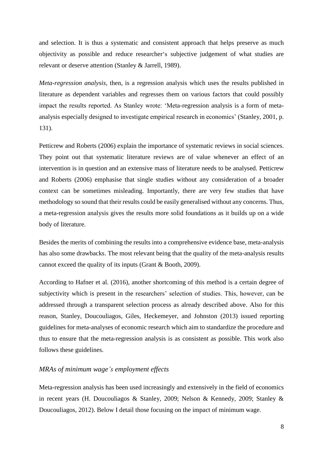and selection. It is thus a systematic and consistent approach that helps preserve as much objectivity as possible and reduce researcher's subjective judgement of what studies are relevant or deserve attention (Stanley & Jarrell, 1989).

*Meta-regression analysis*, then, is a regression analysis which uses the results published in literature as dependent variables and regresses them on various factors that could possibly impact the results reported. As Stanley wrote: 'Meta-regression analysis is a form of metaanalysis especially designed to investigate empirical research in economics' (Stanley, 2001, p. 131).

Petticrew and Roberts (2006) explain the importance of systematic reviews in social sciences. They point out that systematic literature reviews are of value whenever an effect of an intervention is in question and an extensive mass of literature needs to be analysed. Petticrew and Roberts (2006) emphasise that single studies without any consideration of a broader context can be sometimes misleading. Importantly, there are very few studies that have methodology so sound that their results could be easily generalised without any concerns. Thus, a meta-regression analysis gives the results more solid foundations as it builds up on a wide body of literature.

Besides the merits of combining the results into a comprehensive evidence base, meta-analysis has also some drawbacks. The most relevant being that the quality of the meta-analysis results cannot exceed the quality of its inputs (Grant & Booth, 2009).

According to Hafner et al. (2016), another shortcoming of this method is a certain degree of subjectivity which is present in the researchers' selection of studies. This, however, can be addressed through a transparent selection process as already described above. Also for this reason, Stanley, Doucouliagos, Giles, Heckemeyer, and Johnston (2013) issued reporting guidelines for meta-analyses of economic research which aim to standardize the procedure and thus to ensure that the meta-regression analysis is as consistent as possible. This work also follows these guidelines.

### <span id="page-7-0"></span>*MRAs of minimum wage's employment effects*

Meta-regression analysis has been used increasingly and extensively in the field of economics in recent years (H. Doucouliagos & Stanley, 2009; Nelson & Kennedy, 2009; Stanley & Doucouliagos, 2012). Below I detail those focusing on the impact of minimum wage.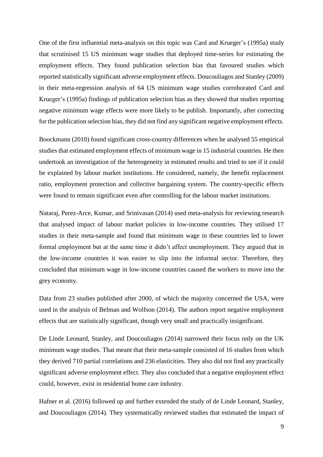One of the first influential meta-analysis on this topic was Card and Krueger's (1995a) study that scrutinised 15 US minimum wage studies that deployed time-series for estimating the employment effects. They found publication selection bias that favoured studies which reported statistically significant adverse employment effects. Doucouliagos and Stanley (2009) in their meta-regression analysis of 64 US minimum wage studies corroborated Card and Krueger's (1995a) findings of publication selection bias as they showed that studies reporting negative minimum wage effects were more likely to be publish. Importantly, after correcting for the publication selection bias, they did not find any significant negative employment effects.

Boockmann (2010) found significant cross-country differences when he analysed 55 empirical studies that estimated employment effects of minimum wage in 15 industrial countries. He then undertook an investigation of the heterogeneity in estimated results and tried to see if it could be explained by labour market institutions. He considered, namely, the benefit replacement ratio, employment protection and collective bargaining system. The country-specific effects were found to remain significant even after controlling for the labour market institutions.

Nataraj, Perez-Arce, Kumar, and Srinivasan (2014) used meta-analysis for reviewing research that analysed impact of labour market policies in low-income countries. They utilised 17 studies in their meta-sample and found that minimum wage in these countries led to lower formal employment but at the same time it didn't affect unemployment. They argued that in the low-income countries it was easier to slip into the informal sector. Therefore, they concluded that minimum wage in low-income countries caused the workers to move into the grey economy.

Data from 23 studies published after 2000, of which the majority concerned the USA, were used in the analysis of Belman and Wolfson (2014). The authors report negative employment effects that are statistically significant, though very small and practically insignificant.

De Linde Leonard, Stanley, and Doucouliagos (2014) narrowed their focus only on the UK minimum wage studies. That meant that their meta-sample consisted of 16 studies from which they derived 710 partial correlations and 236 elasticities. They also did not find any practically significant adverse employment effect. They also concluded that a negative employment effect could, however, exist in residential home care industry.

Hafner et al. (2016) followed up and further extended the study of de Linde Leonard, Stanley, and Doucouliagos (2014). They systematically reviewed studies that estimated the impact of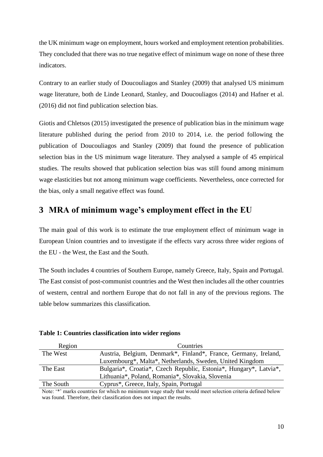the UK minimum wage on employment, hours worked and employment retention probabilities. They concluded that there was no true negative effect of minimum wage on none of these three indicators.

Contrary to an earlier study of Doucouliagos and Stanley (2009) that analysed US minimum wage literature, both de Linde Leonard, Stanley, and Doucouliagos (2014) and Hafner et al. (2016) did not find publication selection bias.

Giotis and Chletsos (2015) investigated the presence of publication bias in the minimum wage literature published during the period from 2010 to 2014, i.e. the period following the publication of Doucouliagos and Stanley (2009) that found the presence of publication selection bias in the US minimum wage literature. They analysed a sample of 45 empirical studies. The results showed that publication selection bias was still found among minimum wage elasticities but not among minimum wage coefficients. Nevertheless, once corrected for the bias, only a small negative effect was found.

# <span id="page-9-0"></span>**3 MRA of minimum wage's employment effect in the EU**

The main goal of this work is to estimate the true employment effect of minimum wage in European Union countries and to investigate if the effects vary across three wider regions of the EU - the West, the East and the South.

The South includes 4 countries of Southern Europe, namely Greece, Italy, Spain and Portugal. The East consist of post-communist countries and the West then includes all the other countries of western, central and northern Europe that do not fall in any of the previous regions. The table below summarizes this classification.

| Region    | Countries                                                         |
|-----------|-------------------------------------------------------------------|
| The West  | Austria, Belgium, Denmark*, Finland*, France, Germany, Ireland,   |
|           | Luxembourg*, Malta*, Netherlands, Sweden, United Kingdom          |
| The East  | Bulgaria*, Croatia*, Czech Republic, Estonia*, Hungary*, Latvia*, |
|           | Lithuania*, Poland, Romania*, Slovakia, Slovenia                  |
| The South | Cyprus*, Greece, Italy, Spain, Portugal                           |

<span id="page-9-1"></span>**Table 1: Countries classification into wider regions**

Note: '\*' marks countries for which no minimum wage study that would meet selection criteria defined below was found. Therefore, their classification does not impact the results.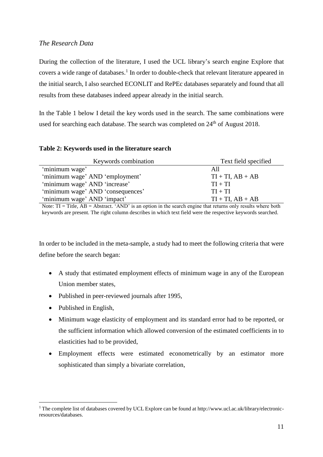### <span id="page-10-0"></span>*The Research Data*

During the collection of the literature, I used the UCL library's search engine Explore that covers a wide range of databases. 1 In order to double-check that relevant literature appeared in the initial search, I also searched ECONLIT and RePEc databases separately and found that all results from these databases indeed appear already in the initial search.

In the Table 1 below I detail the key words used in the search. The same combinations were used for searching each database. The search was completed on  $24<sup>th</sup>$  of August 2018.

#### <span id="page-10-1"></span>**Table 2: Keywords used in the literature search**

| Keywords combination              | Text field specified  |
|-----------------------------------|-----------------------|
| 'minimum wage'                    | All                   |
| 'minimum wage' AND 'employment'   | $TI + TI$ , $AB + AB$ |
| 'minimum wage' AND 'increase'     | $TI + TI$             |
| 'minimum wage' AND 'consequences' | $TI + TI$             |
| 'minimum wage' AND 'impact'       | $TI + TI$ , $AB + AB$ |

Note:  $TI = Title$ ,  $AB = Abstract$ . 'AND' is an option in the search engine that returns only results where both keywords are present. The right column describes in which text field were the respective keywords searched.

In order to be included in the meta-sample, a study had to meet the following criteria that were define before the search began:

- A study that estimated employment effects of minimum wage in any of the European Union member states,
- Published in peer-reviewed journals after 1995,
- Published in English,

1

- Minimum wage elasticity of employment and its standard error had to be reported, or the sufficient information which allowed conversion of the estimated coefficients in to elasticities had to be provided,
- Employment effects were estimated econometrically by an estimator more sophisticated than simply a bivariate correlation,

<sup>&</sup>lt;sup>1</sup> The complete list of databases covered by UCL Explore can be found at http://www.ucl.ac.uk/library/electronicresources/databases.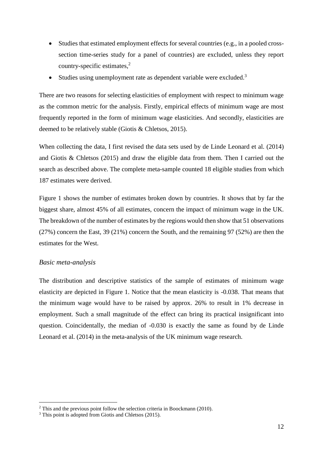- Studies that estimated employment effects for several countries (e.g., in a pooled crosssection time-series study for a panel of countries) are excluded, unless they report country-specific estimates, 2
- Studies using unemployment rate as dependent variable were excluded.<sup>3</sup>

There are two reasons for selecting elasticities of employment with respect to minimum wage as the common metric for the analysis. Firstly, empirical effects of minimum wage are most frequently reported in the form of minimum wage elasticities. And secondly, elasticities are deemed to be relatively stable (Giotis & Chletsos, 2015).

When collecting the data, I first revised the data sets used by de Linde Leonard et al. (2014) and Giotis & Chletsos (2015) and draw the eligible data from them. Then I carried out the search as described above. The complete meta-sample counted 18 eligible studies from which 187 estimates were derived.

Figure 1 shows the number of estimates broken down by countries. It shows that by far the biggest share, almost 45% of all estimates, concern the impact of minimum wage in the UK. The breakdown of the number of estimates by the regions would then show that 51 observations (27%) concern the East, 39 (21%) concern the South, and the remaining 97 (52%) are then the estimates for the West.

#### <span id="page-11-0"></span>*Basic meta-analysis*

1

The distribution and descriptive statistics of the sample of estimates of minimum wage elasticity are depicted in Figure 1. Notice that the mean elasticity is -0.038. That means that the minimum wage would have to be raised by approx. 26% to result in 1% decrease in employment. Such a small magnitude of the effect can bring its practical insignificant into question. Coincidentally, the median of -0.030 is exactly the same as found by de Linde Leonard et al. (2014) in the meta-analysis of the UK minimum wage research.

<sup>&</sup>lt;sup>2</sup> This and the previous point follow the selection criteria in Boockmann (2010).

<sup>&</sup>lt;sup>3</sup> This point is adopted from Giotis and Chletsos (2015).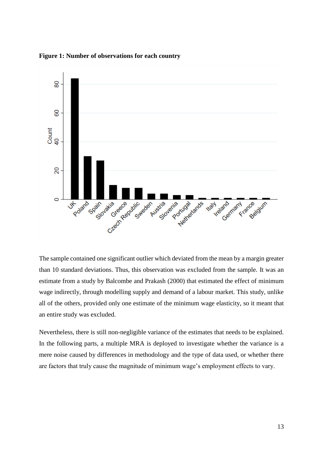

<span id="page-12-0"></span>**Figure 1: Number of observations for each country**

The sample contained one significant outlier which deviated from the mean by a margin greater than 10 standard deviations. Thus, this observation was excluded from the sample. It was an estimate from a study by Balcombe and Prakash (2000) that estimated the effect of minimum wage indirectly, through modelling supply and demand of a labour market. This study, unlike all of the others, provided only one estimate of the minimum wage elasticity, so it meant that an entire study was excluded.

Nevertheless, there is still non-negligible variance of the estimates that needs to be explained. In the following parts, a multiple MRA is deployed to investigate whether the variance is a mere noise caused by differences in methodology and the type of data used, or whether there are factors that truly cause the magnitude of minimum wage's employment effects to vary.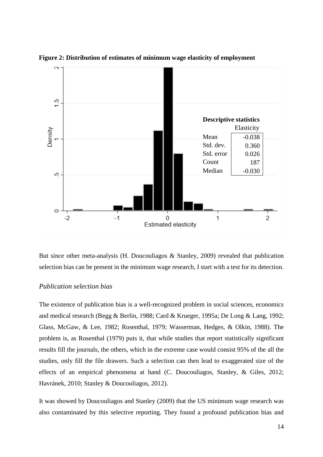

**Figure 2: Distribution of estimates of minimum wage elasticity of employment** 

But since other meta-analysis (H. Doucouliagos & Stanley, 2009) revealed that publication selection bias can be present in the minimum wage research, I start with a test for its detection.

### <span id="page-13-0"></span>*Publication selection bias*

The existence of publication bias is a well-recognized problem in social sciences, economics and medical research (Begg & Berlin, 1988; Card & Krueger, 1995a; De Long & Lang, 1992; Glass, McGaw, & Lee, 1982; Rosenthal, 1979; Wasserman, Hedges, & Olkin, 1988). The problem is, as Rosenthal (1979) puts it, that while studies that report statistically significant results fill the journals, the others, which in the extreme case would consist 95% of the all the studies, only fill the file drawers. Such a selection can then lead to exaggerated size of the effects of an empirical phenomena at hand (C. Doucouliagos, Stanley, & Giles, 2012; Havránek, 2010; Stanley & Doucouliagos, 2012).

It was showed by Doucouliagos and Stanley (2009) that the US minimum wage research was also contaminated by this selective reporting. They found a profound publication bias and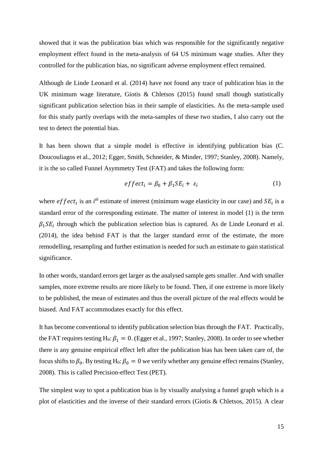showed that it was the publication bias which was responsible for the significantly negative employment effect found in the meta-analysis of 64 US minimum wage studies. After they controlled for the publication bias, no significant adverse employment effect remained.

Although de Linde Leonard et al. (2014) have not found any trace of publication bias in the UK minimum wage literature, Giotis & Chletsos (2015) found small though statistically significant publication selection bias in their sample of elasticities. As the meta-sample used for this study partly overlaps with the meta-samples of these two studies, I also carry out the test to detect the potential bias.

It has been shown that a simple model is effective in identifying publication bias (C. Doucouliagos et al., 2012; Egger, Smith, Schneider, & Minder, 1997; Stanley, 2008). Namely, it is the so called Funnel Asymmetry Test (FAT) and takes the following form:

$$
effect_i = \beta_0 + \beta_1 SE_i + \varepsilon_i \tag{1}
$$

where  $\text{eff} \text{ect}_i$  is an *i*<sup>th</sup> estimate of interest (minimum wage elasticity in our case) and  $SE_i$  is a standard error of the corresponding estimate. The matter of interest in model (1) is the term  $\beta_1 SE_i$  through which the publication selection bias is captured. As de Linde Leonard et al. (2014), the idea behind FAT is that the larger standard error of the estimate, the more remodelling, resampling and further estimation is needed for such an estimate to gain statistical significance.

In other words, standard errors get larger as the analysed sample gets smaller. And with smaller samples, more extreme results are more likely to be found. Then, if one extreme is more likely to be published, the mean of estimates and thus the overall picture of the real effects would be biased. And FAT accommodates exactly for this effect.

It has become conventional to identify publication selection bias through the FAT. Practically, the FAT requires testing H<sub>0</sub>:  $\beta_1 = 0$ . (Egger et al., 1997; Stanley, 2008). In order to see whether there is any genuine empirical effect left after the publication bias has been taken care of, the focus shifts to  $\beta_0$ . By testing H<sub>0</sub>:  $\beta_0 = 0$  we verify whether any genuine effect remains (Stanley, 2008). This is called Precision-effect Test (PET).

The simplest way to spot a publication bias is by visually analysing a funnel graph which is a plot of elasticities and the inverse of their standard errors (Giotis & Chletsos, 2015). A clear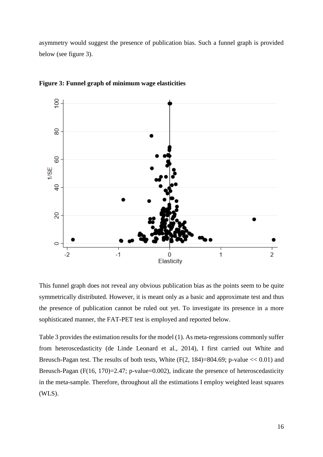asymmetry would suggest the presence of publication bias. Such a funnel graph is provided below (see figure 3).



<span id="page-15-0"></span>**Figure 3: Funnel graph of minimum wage elasticities**

This funnel graph does not reveal any obvious publication bias as the points seem to be quite symmetrically distributed. However, it is meant only as a basic and approximate test and thus the presence of publication cannot be ruled out yet. To investigate its presence in a more sophisticated manner, the FAT-PET test is employed and reported below.

Table 3 provides the estimation results for the model (1). As meta-regressions commonly suffer from heteroscedasticity (de Linde Leonard et al., 2014), I first carried out White and Breusch-Pagan test. The results of both tests, White  $(F(2, 184)=804.69; p-value \lt 0.01)$  and Breusch-Pagan (F(16, 170)=2.47; p-value=0.002), indicate the presence of heteroscedasticity in the meta-sample. Therefore, throughout all the estimations I employ weighted least squares (WLS).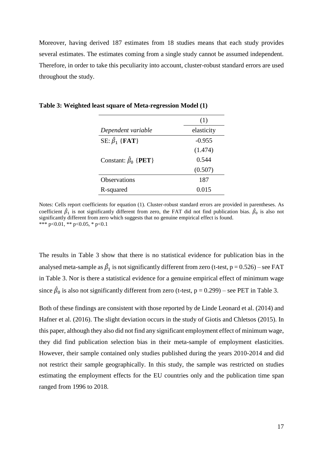Moreover, having derived 187 estimates from 18 studies means that each study provides several estimates. The estimates coming from a single study cannot be assumed independent. Therefore, in order to take this peculiarity into account, cluster-robust standard errors are used throughout the study.

|                                          | (1)        |
|------------------------------------------|------------|
| Dependent variable                       | elasticity |
| SE: $\hat{\beta}_1$ {FAT}                | $-0.955$   |
|                                          | (1.474)    |
| Constant: $\hat{\beta}_0$ { <b>PET</b> } | 0.544      |
|                                          | (0.507)    |
| <b>Observations</b>                      | 187        |
| R-squared                                | 0.015      |

<span id="page-16-0"></span>**Table 3: Weighted least square of Meta-regression Model (1)**

Notes: Cells report coefficients for equation (1). Cluster-robust standard errors are provided in parentheses. As coefficient  $\hat{\beta}_1$  is not significantly different from zero, the FAT did not find publication bias.  $\hat{\beta}_0$  is also not significantly different from zero which suggests that no genuine empirical effect is found. \*\*\* p<0.01, \*\* p<0.05, \* p<0.1

The results in Table 3 show that there is no statistical evidence for publication bias in the analysed meta-sample as  $\hat{\beta}_1$  is not significantly different from zero (t-test, p = 0.526) – see FAT in Table 3. Nor is there a statistical evidence for a genuine empirical effect of minimum wage since  $\hat{\beta}_0$  is also not significantly different from zero (t-test, p = 0.299) – see PET in Table 3.

Both of these findings are consistent with those reported by de Linde Leonard et al. (2014) and Hafner et al. (2016). The slight deviation occurs in the study of Giotis and Chletsos (2015). In this paper, although they also did not find any significant employment effect of minimum wage, they did find publication selection bias in their meta-sample of employment elasticities. However, their sample contained only studies published during the years 2010-2014 and did not restrict their sample geographically. In this study, the sample was restricted on studies estimating the employment effects for the EU countries only and the publication time span ranged from 1996 to 2018.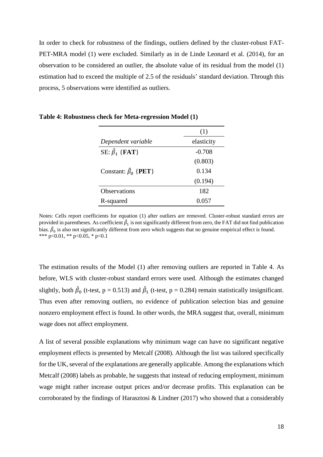In order to check for robustness of the findings, outliers defined by the cluster-robust FAT-PET-MRA model (1) were excluded. Similarly as in de Linde Leonard et al. (2014), for an observation to be considered an outlier, the absolute value of its residual from the model (1) estimation had to exceed the multiple of 2.5 of the residuals' standard deviation. Through this process, 5 observations were identified as outliers.

|                                          | (1)        |
|------------------------------------------|------------|
| Dependent variable                       | elasticity |
| SE: $\hat{\beta}_1$ {FAT}                | $-0.708$   |
|                                          | (0.803)    |
| Constant: $\hat{\beta}_0$ { <b>PET</b> } | 0.134      |
|                                          | (0.194)    |
| <b>Observations</b>                      | 182        |
| R-squared                                | 0.057      |

<span id="page-17-0"></span>**Table 4: Robustness check for Meta-regression Model (1)**

Notes: Cells report coefficients for equation (1) after outliers are removed. Cluster-robust standard errors are provided in parentheses. As coefficient  $\hat{\beta}_1$  is not significantly different from zero, the FAT did not find publication bias.  $\hat{\beta}_0$  is also not significantly different from zero which suggests that no genuine empirical effect is found. \*\*\* p<0.01, \*\* p<0.05, \* p<0.1

The estimation results of the Model (1) after removing outliers are reported in Table 4. As before, WLS with cluster-robust standard errors were used. Although the estimates changed slightly, both  $\hat{\beta}_0$  (t-test, p = 0.513) and  $\hat{\beta}_1$  (t-test, p = 0.284) remain statistically insignificant. Thus even after removing outliers, no evidence of publication selection bias and genuine nonzero employment effect is found. In other words, the MRA suggest that, overall, minimum wage does not affect employment.

A list of several possible explanations why minimum wage can have no significant negative employment effects is presented by Metcalf (2008). Although the list was tailored specifically for the UK, several of the explanations are generally applicable. Among the explanations which Metcalf (2008) labels as probable, he suggests that instead of reducing employment, minimum wage might rather increase output prices and/or decrease profits. This explanation can be corroborated by the findings of Harasztosi & Lindner (2017) who showed that a considerably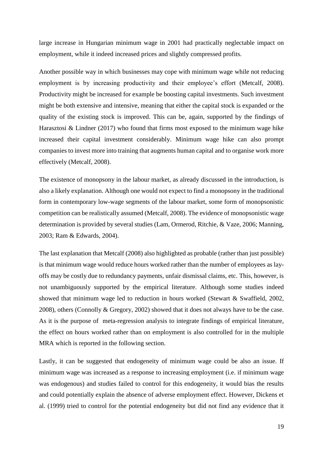large increase in Hungarian minimum wage in 2001 had practically neglectable impact on employment, while it indeed increased prices and slightly compressed profits.

Another possible way in which businesses may cope with minimum wage while not reducing employment is by increasing productivity and their employee's effort (Metcalf, 2008). Productivity might be increased for example be boosting capital investments. Such investment might be both extensive and intensive, meaning that either the capital stock is expanded or the quality of the existing stock is improved. This can be, again, supported by the findings of Harasztosi & Lindner (2017) who found that firms most exposed to the minimum wage hike increased their capital investment considerably. Minimum wage hike can also prompt companies to invest more into training that augments human capital and to organise work more effectively (Metcalf, 2008).

The existence of monopsony in the labour market, as already discussed in the introduction, is also a likely explanation. Although one would not expect to find a monopsony in the traditional form in contemporary low-wage segments of the labour market, some form of monopsonistic competition can be realistically assumed (Metcalf, 2008). The evidence of monopsonistic wage determination is provided by several studies (Lam, Ormerod, Ritchie, & Vaze, 2006; Manning, 2003; Ram & Edwards, 2004).

The last explanation that Metcalf (2008) also highlighted as probable (rather than just possible) is that minimum wage would reduce hours worked rather than the number of employees as layoffs may be costly due to redundancy payments, unfair dismissal claims, etc. This, however, is not unambiguously supported by the empirical literature. Although some studies indeed showed that minimum wage led to reduction in hours worked (Stewart & Swaffield, 2002, 2008), others (Connolly & Gregory, 2002) showed that it does not always have to be the case. As it is the purpose of meta-regression analysis to integrate findings of empirical literature, the effect on hours worked rather than on employment is also controlled for in the multiple MRA which is reported in the following section.

Lastly, it can be suggested that endogeneity of minimum wage could be also an issue. If minimum wage was increased as a response to increasing employment (i.e. if minimum wage was endogenous) and studies failed to control for this endogeneity, it would bias the results and could potentially explain the absence of adverse employment effect. However, Dickens et al. (1999) tried to control for the potential endogeneity but did not find any evidence that it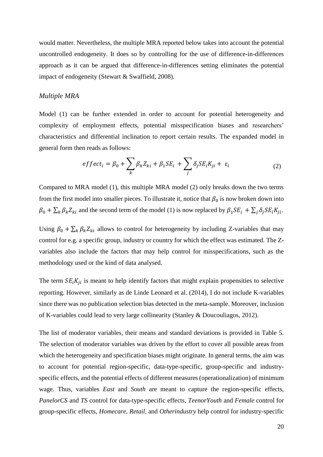would matter. Nevertheless, the multiple MRA reported below takes into account the potential uncontrolled endogeneity. It does so by controlling for the use of difference-in-differences approach as it can be argued that difference-in-differences setting eliminates the potential impact of endogeneity (Stewart & Swaffield, 2008).

#### <span id="page-19-0"></span>*Multiple MRA*

Model (1) can be further extended in order to account for potential heterogeneity and complexity of employment effects, potential misspecification biases and researchers' characteristics and differential inclination to report certain results. The expanded model in general form then reads as follows:

$$
effect_i = \beta_0 + \sum_k \beta_k Z_{ki} + \beta_1 SE_i + \sum_j \delta_j SE_i K_{ji} + \varepsilon_i
$$
\n(2)

Compared to MRA model (1), this multiple MRA model (2) only breaks down the two terms from the first model into smaller pieces. To illustrate it, notice that  $\beta_0$  is now broken down into  $\beta_0 + \sum_k \beta_k Z_{ki}$  and the second term of the model (1) is now replaced by  $\beta_1 SE_i + \sum_j \delta_j SE_i K_{ji}$ .

Using  $\beta_0 + \sum_k \beta_k Z_{ki}$  allows to control for heterogeneity by including Z-variables that may control for e.g. a specific group, industry or country for which the effect was estimated. The Zvariables also include the factors that may help control for misspecifications, such as the methodology used or the kind of data analysed.

The term  $SE_i K_{ii}$  is meant to help identify factors that might explain propensities to selective reporting. However, similarly as de Linde Leonard et al. (2014), I do not include K-variables since there was no publication selection bias detected in the meta-sample. Moreover, inclusion of K-variables could lead to very large collinearity (Stanley & Doucouliagos, 2012).

The list of moderator variables, their means and standard deviations is provided in Table 5. The selection of moderator variables was driven by the effort to cover all possible areas from which the heterogeneity and specification biases might originate. In general terms, the aim was to account for potential region-specific, data-type-specific, group-specific and industryspecific effects, and the potential effects of different measures (operationalization) of minimum wage. Thus, variables *East* and *South* are meant to capture the region-specific effects, *PanelorCS* and *TS* control for data-type-specific effects, *TeenorYouth* and *Female* control for group-specific effects, *Homecare, Retail,* and *Otherindustry* help control for industry-specific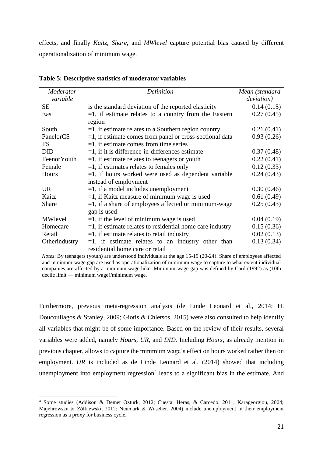effects, and finally *Kaitz, Share,* and *MWlevel* capture potential bias caused by different operationalization of minimum wage.

| Moderator          | Definition                                                   | Mean (standard     |
|--------------------|--------------------------------------------------------------|--------------------|
| variable           |                                                              | <i>deviation</i> ) |
| SE                 | is the standard deviation of the reported elasticity         | 0.14(0.15)         |
| East               | $=1$ , if estimate relates to a country from the Eastern     | 0.27(0.45)         |
|                    | region                                                       |                    |
| South              | $=1$ , if estimate relates to a Southern region country      | 0.21(0.41)         |
| PanelorCS          | $=1$ , if estimate comes from panel or cross-sectional data  | 0.93(0.26)         |
| <b>TS</b>          | $=1$ , if estimate comes from time series                    |                    |
| <b>DID</b>         | $=1$ , if it is difference-in-differences estimate           | 0.37(0.48)         |
| <b>TeenorYouth</b> | $=$ 1, if estimate relates to teenagers or youth             | 0.22(0.41)         |
| Female             | $=1$ , if estimates relates to females only                  | 0.12(0.33)         |
| Hours              | $=1$ , if hours worked were used as dependent variable       | 0.24(0.43)         |
|                    | instead of employment                                        |                    |
| <b>UR</b>          | $=1$ , if a model includes unemployment                      | 0.30(0.46)         |
| Kaitz              | $=1$ , if Kaitz measure of minimum wage is used              | 0.61(0.49)         |
| Share              | $=1$ , if a share of employees affected or minimum-wage      | 0.25(0.43)         |
|                    | gap is used                                                  |                    |
| MWlevel            | $=1$ , if the level of minimum wage is used                  | 0.04(0.19)         |
| Homecare           | $=$ 1, if estimate relates to residential home care industry | 0.15(0.36)         |
| Retail             | $=$ 1, if estimate relates to retail industry                | 0.02(0.13)         |
| Otherindustry      | $=1$ , if estimate relates to an industry other than         | 0.13(0.34)         |
|                    | residential home care or retail                              |                    |

<span id="page-20-0"></span>**Table 5: Descriptive statistics of moderator variables** 

*Notes*: By teenagers (youth) are understood individuals at the age 15-19 (20-24). Share of employees affected and minimum-wage gap are used as operationalization of minimum wage to capture to what extent individual companies are affected by a minimum wage hike. Minimum-wage gap was defined by Card (1992) as (10th decile limit — minimum wage)/minimum wage.

Furthermore, previous meta-regression analysis (de Linde Leonard et al., 2014; H. Doucouliagos & Stanley, 2009; Giotis & Chletsos, 2015) were also consulted to help identify all variables that might be of some importance. Based on the review of their results, several variables were added, namely *Hours, UR,* and *DID.* Including *Hours*, as already mention in previous chapter, allows to capture the minimum wage's effect on hours worked rather then on employment. *UR* is included as de Linde Leonard et al. (2014) showed that including unemployment into employment regression<sup>4</sup> leads to a significant bias in the estimate. And

1

<sup>4</sup> Some studies (Addison & Demet Ozturk, 2012; Cuesta, Heras, & Carcedo, 2011; Karageorgiou, 2004; Majchrowska & Żółkiewski, 2012; Neumark & Wascher, 2004) include unemployment in their employment regression as a proxy for business cycle.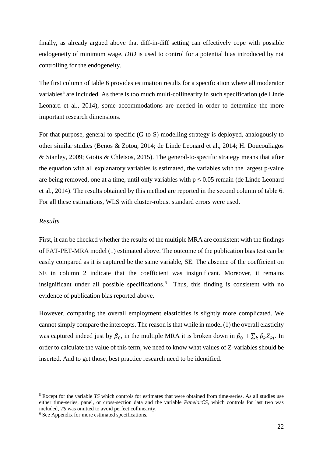finally, as already argued above that diff-in-diff setting can effectively cope with possible endogeneity of minimum wage, *DID* is used to control for a potential bias introduced by not controlling for the endogeneity.

The first column of table 6 provides estimation results for a specification where all moderator variables<sup>5</sup> are included. As there is too much multi-collinearity in such specification (de Linde Leonard et al., 2014), some accommodations are needed in order to determine the more important research dimensions.

For that purpose, general-to-specific (G-to-S) modelling strategy is deployed, analogously to other similar studies (Benos & Zotou, 2014; de Linde Leonard et al., 2014; H. Doucouliagos & Stanley, 2009; Giotis & Chletsos, 2015). The general-to-specific strategy means that after the equation with all explanatory variables is estimated, the variables with the largest p-value are being removed, one at a time, until only variables with  $p \le 0.05$  remain (de Linde Leonard et al., 2014). The results obtained by this method are reported in the second column of table 6. For all these estimations, WLS with cluster-robust standard errors were used.

#### <span id="page-21-0"></span>*Results*

<u>.</u>

First, it can be checked whether the results of the multiple MRA are consistent with the findings of FAT-PET-MRA model (1) estimated above. The outcome of the publication bias test can be easily compared as it is captured be the same variable, SE. The absence of the coefficient on SE in column 2 indicate that the coefficient was insignificant. Moreover, it remains insignificant under all possible specifications. 6 Thus, this finding is consistent with no evidence of publication bias reported above.

However, comparing the overall employment elasticities is slightly more complicated. We cannot simply compare the intercepts. The reason is that while in model (1) the overall elasticity was captured indeed just by  $\beta_0$ , in the multiple MRA it is broken down in  $\beta_0 + \sum_k \beta_k Z_{ki}$ . In order to calculate the value of this term, we need to know what values of Z-variables should be inserted. And to get those, best practice research need to be identified.

<sup>5</sup> Except for the variable *TS* which controls for estimates that were obtained from time-series. As all studies use either time-series, panel, or cross-section data and the variable *PanelorCS,* which controls for last two was included, *TS* was omitted to avoid perfect collinearity.

<sup>&</sup>lt;sup>6</sup> See Appendix for more estimated specifications.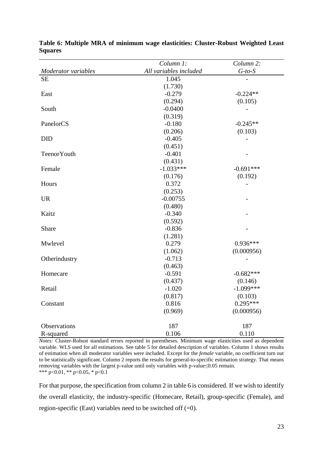|                     | Column 1:              | Column 2:    |
|---------------------|------------------------|--------------|
| Moderator variables | All variables included | $G$ -to- $S$ |
| <b>SE</b>           | 1.045                  |              |
|                     | (1.730)                |              |
| East                | $-0.279$               | $-0.224**$   |
|                     | (0.294)                | (0.105)      |
| South               | $-0.0400$              |              |
|                     | (0.319)                |              |
| PanelorCS           | $-0.180$               | $-0.245**$   |
|                     | (0.206)                | (0.103)      |
| <b>DID</b>          | $-0.405$               |              |
|                     | (0.451)                |              |
| TeenorYouth         | $-0.401$               |              |
|                     | (0.431)                |              |
| Female              | $-1.033***$            | $-0.691***$  |
|                     | (0.176)                | (0.192)      |
| Hours               | 0.372                  |              |
|                     | (0.253)                |              |
| <b>UR</b>           | $-0.00755$             |              |
|                     | (0.480)                |              |
| Kaitz               | $-0.340$               |              |
|                     | (0.592)                |              |
| Share               | $-0.836$               |              |
|                     | (1.281)                |              |
| Mwlevel             | 0.279                  | $0.936***$   |
|                     | (1.062)                | (0.000956)   |
| Otherindustry       | $-0.713$               |              |
|                     | (0.463)                |              |
| Homecare            | $-0.591$               | $-0.682***$  |
|                     | (0.437)                | (0.146)      |
| Retail              | $-1.020$               | $-1.099***$  |
|                     | (0.817)                | (0.103)      |
| Constant            | 0.816                  | $0.295***$   |
|                     | (0.969)                | (0.000956)   |
| Observations        | 187                    | 187          |
| R-squared           | 0.106                  | 0.110        |

<span id="page-22-0"></span>**Table 6: Multiple MRA of minimum wage elasticities: Cluster-Robust Weighted Least Squares**

*Notes:* Cluster-Robust standard errors reported in parentheses. Minimum wage elasticities used as dependent variable. WLS used for all estimations. See table 5 for detailed description of variables. Column 1 shows results of estimation when all moderator variables were included. Except for the *female* variable, no coefficient turn out to be statistically significant. Column 2 reports the results for general-to-specific estimation strategy. That means removing variables with the largest p-value until only variables with p-value≤0.05 remain. \*\*\* p<0.01, \*\* p<0.05, \* p<0.1

For that purpose, the specification from column 2 in table 6 is considered. If we wish to identify the overall elasticity, the industry-specific (Homecare, Retail), group-specific (Female), and region-specific (East) variables need to be switched off  $(=0)$ .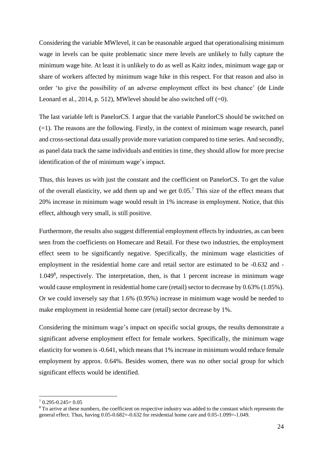Considering the variable MWlevel, it can be reasonable argued that operationalising minimum wage in levels can be quite problematic since mere levels are unlikely to fully capture the minimum wage bite. At least it is unlikely to do as well as Kaitz index, minimum wage gap or share of workers affected by minimum wage hike in this respect. For that reason and also in order 'to give the possibility of an adverse employment effect its best chance' (de Linde Leonard et al., 2014, p. 512), MWlevel should be also switched off  $(=0)$ .

The last variable left is PanelorCS. I argue that the variable PanelorCS should be switched on  $(=1)$ . The reasons are the following. Firstly, in the context of minimum wage research, panel and cross-sectional data usually provide more variation compared to time series. And secondly, as panel data track the same individuals and entities in time, they should allow for more precise identification of the of minimum wage's impact.

Thus, this leaves us with just the constant and the coefficient on PanelorCS. To get the value of the overall elasticity, we add them up and we get  $0.05<sup>7</sup>$ . This size of the effect means that 20% increase in minimum wage would result in 1% increase in employment. Notice, that this effect, although very small, is still positive.

Furthermore, the results also suggest differential employment effects by industries, as can been seen from the coefficients on Homecare and Retail. For these two industries, the employment effect seem to be significantly negative. Specifically, the minimum wage elasticities of employment in the residential home care and retail sector are estimated to be -0.632 and - 1.049<sup>8</sup> , respectively. The interpretation, then, is that 1 percent increase in minimum wage would cause employment in residential home care (retail) sector to decrease by 0.63% (1.05%). Or we could inversely say that 1.6% (0.95%) increase in minimum wage would be needed to make employment in residential home care (retail) sector decrease by 1%.

Considering the minimum wage's impact on specific social groups, the results demonstrate a significant adverse employment effect for female workers. Specifically, the minimum wage elasticity for women is -0.641, which means that 1% increase in minimum would reduce female employment by approx. 0.64%. Besides women, there was no other social group for which significant effects would be identified.

1

 $7,0.295-0.245=0.05$ 

<sup>&</sup>lt;sup>8</sup> To arrive at these numbers, the coefficient on respective industry was added to the constant which represents the general effect. Thus, having 0.05-0.682=-0.632 for residential home care and 0.05-1.099=-1.049.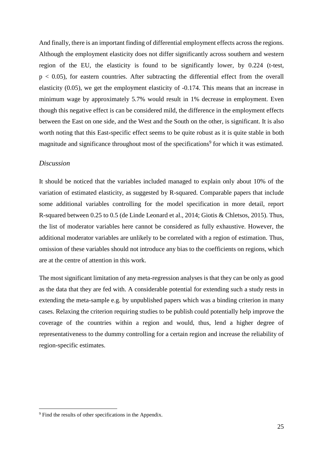And finally, there is an important finding of differential employment effects across the regions. Although the employment elasticity does not differ significantly across southern and western region of the EU, the elasticity is found to be significantly lower, by 0.224 (t-test,  $p < 0.05$ ), for eastern countries. After subtracting the differential effect from the overall elasticity (0.05), we get the employment elasticity of -0.174. This means that an increase in minimum wage by approximately 5.7% would result in 1% decrease in employment. Even though this negative effect is can be considered mild, the difference in the employment effects between the East on one side, and the West and the South on the other, is significant. It is also worth noting that this East-specific effect seems to be quite robust as it is quite stable in both magnitude and significance throughout most of the specifications<sup>9</sup> for which it was estimated.

#### <span id="page-24-0"></span>*Discussion*

It should be noticed that the variables included managed to explain only about 10% of the variation of estimated elasticity, as suggested by R-squared. Comparable papers that include some additional variables controlling for the model specification in more detail, report R-squared between 0.25 to 0.5 (de Linde Leonard et al., 2014; Giotis & Chletsos, 2015). Thus, the list of moderator variables here cannot be considered as fully exhaustive. However, the additional moderator variables are unlikely to be correlated with a region of estimation. Thus, omission of these variables should not introduce any bias to the coefficients on regions, which are at the centre of attention in this work.

The most significant limitation of any meta-regression analyses is that they can be only as good as the data that they are fed with. A considerable potential for extending such a study rests in extending the meta-sample e.g. by unpublished papers which was a binding criterion in many cases. Relaxing the criterion requiring studies to be publish could potentially help improve the coverage of the countries within a region and would, thus, lend a higher degree of representativeness to the dummy controlling for a certain region and increase the reliability of region-specific estimates.

<u>.</u>

<sup>&</sup>lt;sup>9</sup> Find the results of other specifications in the Appendix.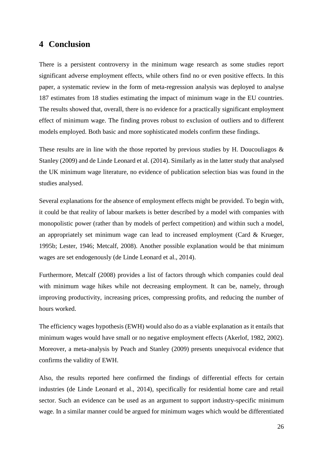## <span id="page-25-0"></span>**4 Conclusion**

There is a persistent controversy in the minimum wage research as some studies report significant adverse employment effects, while others find no or even positive effects. In this paper, a systematic review in the form of meta-regression analysis was deployed to analyse 187 estimates from 18 studies estimating the impact of minimum wage in the EU countries. The results showed that, overall, there is no evidence for a practically significant employment effect of minimum wage. The finding proves robust to exclusion of outliers and to different models employed. Both basic and more sophisticated models confirm these findings.

These results are in line with the those reported by previous studies by H. Doucouliagos  $\&$ Stanley (2009) and de Linde Leonard et al. (2014). Similarly as in the latter study that analysed the UK minimum wage literature, no evidence of publication selection bias was found in the studies analysed.

Several explanations for the absence of employment effects might be provided. To begin with, it could be that reality of labour markets is better described by a model with companies with monopolistic power (rather than by models of perfect competition) and within such a model, an appropriately set minimum wage can lead to increased employment (Card & Krueger, 1995b; Lester, 1946; Metcalf, 2008). Another possible explanation would be that minimum wages are set endogenously (de Linde Leonard et al., 2014).

Furthermore, Metcalf (2008) provides a list of factors through which companies could deal with minimum wage hikes while not decreasing employment. It can be, namely, through improving productivity, increasing prices, compressing profits, and reducing the number of hours worked.

The efficiency wages hypothesis (EWH) would also do as a viable explanation as it entails that minimum wages would have small or no negative employment effects (Akerlof, 1982, 2002). Moreover, a meta-analysis by Peach and Stanley (2009) presents unequivocal evidence that confirms the validity of EWH.

Also, the results reported here confirmed the findings of differential effects for certain industries (de Linde Leonard et al., 2014), specifically for residential home care and retail sector. Such an evidence can be used as an argument to support industry-specific minimum wage. In a similar manner could be argued for minimum wages which would be differentiated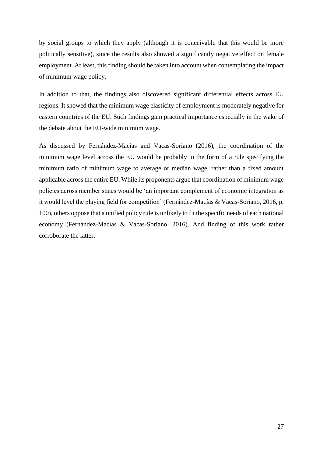by social groups to which they apply (although it is conceivable that this would be more politically sensitive), since the results also showed a significantly negative effect on female employment. At least, this finding should be taken into account when contemplating the impact of minimum wage policy.

In addition to that, the findings also discovered significant differential effects across EU regions. It showed that the minimum wage elasticity of employment is moderately negative for eastern countries of the EU. Such findings gain practical importance especially in the wake of the debate about the EU-wide minimum wage.

As discussed by Fernández-Macías and Vacas-Soriano (2016), the coordination of the minimum wage level across the EU would be probably in the form of a rule specifying the minimum ratio of minimum wage to average or median wage, rather than a fixed amount applicable across the entire EU. While its proponents argue that coordination of minimum wage policies across member states would be 'an important complement of economic integration as it would level the playing field for competition' (Fernández-Macías & Vacas-Soriano, 2016, p. 100), others oppose that a unified policy rule is unlikely to fit the specific needs of each national economy (Fernández-Macías & Vacas-Soriano, 2016). And finding of this work rather corroborate the latter.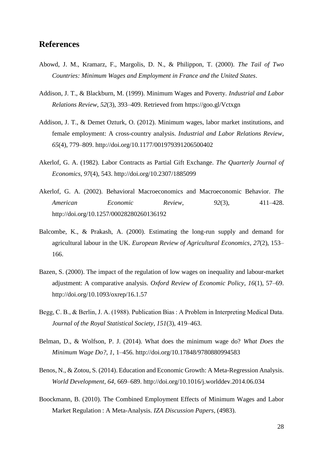## <span id="page-27-0"></span>**References**

- Abowd, J. M., Kramarz, F., Margolis, D. N., & Philippon, T. (2000). *The Tail of Two Countries: Minimum Wages and Employment in France and the United States*.
- Addison, J. T., & Blackburn, M. (1999). Minimum Wages and Poverty. *Industrial and Labor Relations Review*, *52*(3), 393–409. Retrieved from https://goo.gl/Vctxgn
- Addison, J. T., & Demet Ozturk, O. (2012). Minimum wages, labor market institutions, and female employment: A cross-country analysis. *Industrial and Labor Relations Review*, *65*(4), 779–809. http://doi.org/10.1177/001979391206500402
- Akerlof, G. A. (1982). Labor Contracts as Partial Gift Exchange. *The Quarterly Journal of Economics*, *97*(4), 543. http://doi.org/10.2307/1885099
- Akerlof, G. A. (2002). Behavioral Macroeconomics and Macroeconomic Behavior. *The American Economic Review*, *92*(3), 411–428. http://doi.org/10.1257/00028280260136192
- Balcombe, K., & Prakash, A. (2000). Estimating the long-run supply and demand for agricultural labour in the UK. *European Review of Agricultural Economics*, *27*(2), 153– 166.
- Bazen, S. (2000). The impact of the regulation of low wages on inequality and labour-market adjustment: A comparative analysis. *Oxford Review of Economic Policy*, *16*(1), 57–69. http://doi.org/10.1093/oxrep/16.1.57
- Begg, C. B., & Berlin, J. A. (1988). Publication Bias : A Problem in Interpreting Medical Data. *Journal of the Royal Statistical Society*, *151*(3), 419–463.
- Belman, D., & Wolfson, P. J. (2014). What does the minimum wage do? *What Does the Minimum Wage Do?*, *1*, 1–456. http://doi.org/10.17848/9780880994583
- Benos, N., & Zotou, S. (2014). Education and Economic Growth: A Meta-Regression Analysis. *World Development*, *64*, 669–689. http://doi.org/10.1016/j.worlddev.2014.06.034
- Boockmann, B. (2010). The Combined Employment Effects of Minimum Wages and Labor Market Regulation : A Meta-Analysis. *IZA Discussion Papers*, (4983).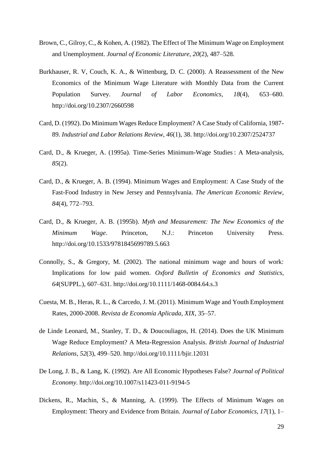- Brown, C., Gilroy, C., & Kohen, A. (1982). The Effect of The Minimum Wage on Employment and Unemployment. *Journal of Economic Literature*, *20*(2), 487–528.
- Burkhauser, R. V, Couch, K. A., & Wittenburg, D. C. (2000). A Reassessment of the New Economics of the Minimum Wage Literature with Monthly Data from the Current Population Survey. *Journal of Labor Economics*, *18*(4), 653–680. http://doi.org/10.2307/2660598
- Card, D. (1992). Do Minimum Wages Reduce Employment? A Case Study of California, 1987- 89. *Industrial and Labor Relations Review*, *46*(1), 38. http://doi.org/10.2307/2524737
- Card, D., & Krueger, A. (1995a). Time-Series Minimum-Wage Studies : A Meta-analysis, *85*(2).
- Card, D., & Krueger, A. B. (1994). Minimum Wages and Employment: A Case Study of the Fast-Food Industry in New Jersey and Pennsylvania. *The American Economic Review*, *84*(4), 772–793.
- Card, D., & Krueger, A. B. (1995b). *Myth and Measurement: The New Economics of the Minimum Wage*. Princeton, N.J.: Princeton University Press. http://doi.org/10.1533/9781845699789.5.663
- Connolly, S., & Gregory, M. (2002). The national minimum wage and hours of work: Implications for low paid women. *Oxford Bulletin of Economics and Statistics*, *64*(SUPPL.), 607–631. http://doi.org/10.1111/1468-0084.64.s.3
- Cuesta, M. B., Heras, R. L., & Carcedo, J. M. (2011). Minimum Wage and Youth Employment Rates, 2000-2008. *Revista de Economía Aplicada*, *XIX*, 35–57.
- de Linde Leonard, M., Stanley, T. D., & Doucouliagos, H. (2014). Does the UK Minimum Wage Reduce Employment? A Meta-Regression Analysis. *British Journal of Industrial Relations*, *52*(3), 499–520. http://doi.org/10.1111/bjir.12031
- De Long, J. B., & Lang, K. (1992). Are All Economic Hypotheses False? *Journal of Political Economy*. http://doi.org/10.1007/s11423-011-9194-5
- Dickens, R., Machin, S., & Manning, A. (1999). The Effects of Minimum Wages on Employment: Theory and Evidence from Britain. *Journal of Labor Economics*, *17*(1), 1–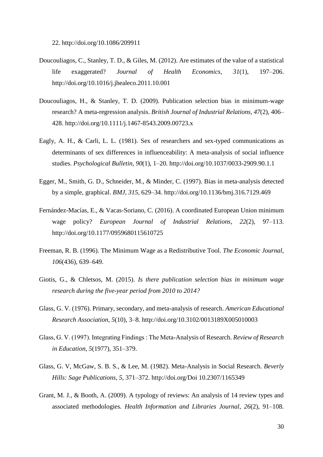22. http://doi.org/10.1086/209911

- Doucouliagos, C., Stanley, T. D., & Giles, M. (2012). Are estimates of the value of a statistical life exaggerated? *Journal of Health Economics*, *31*(1), 197–206. http://doi.org/10.1016/j.jhealeco.2011.10.001
- Doucouliagos, H., & Stanley, T. D. (2009). Publication selection bias in minimum-wage research? A meta-regression analysis. *British Journal of Industrial Relations*, *47*(2), 406– 428. http://doi.org/10.1111/j.1467-8543.2009.00723.x
- Eagly, A. H., & Carli, L. L. (1981). Sex of researchers and sex-typed communications as determinants of sex differences in influenceability: A meta-analysis of social influence studies. *Psychological Bulletin*, *90*(1), 1–20. http://doi.org/10.1037/0033-2909.90.1.1
- Egger, M., Smith, G. D., Schneider, M., & Minder, C. (1997). Bias in meta-analysis detected by a simple, graphical. *BMJ*, *315*, 629–34. http://doi.org/10.1136/bmj.316.7129.469
- Fernández-Macías, E., & Vacas-Soriano, C. (2016). A coordinated European Union minimum wage policy? *European Journal of Industrial Relations*, *22*(2), 97–113. http://doi.org/10.1177/0959680115610725
- Freeman, R. B. (1996). The Minimum Wage as a Redistributive Tool. *The Economic Journal*, *106*(436), 639–649.
- Giotis, G., & Chletsos, M. (2015). *Is there publication selection bias in minimum wage research during the five-year period from 2010 to 2014?*
- Glass, G. V. (1976). Primary, secondary, and meta-analysis of research. *American Educational Research Association*, *5*(10), 3–8. http://doi.org/10.3102/0013189X005010003
- Glass, G. V. (1997). Integrating Findings : The Meta-Analysis of Research. *Review of Research in Education*, *5*(1977), 351–379.
- Glass, G. V, McGaw, S. B. S., & Lee, M. (1982). Meta-Analysis in Social Research. *Beverly Hills: Sage Publications*, *5*, 371–372. http://doi.org/Doi 10.2307/1165349
- Grant, M. J., & Booth, A. (2009). A typology of reviews: An analysis of 14 review types and associated methodologies. *Health Information and Libraries Journal*, *26*(2), 91–108.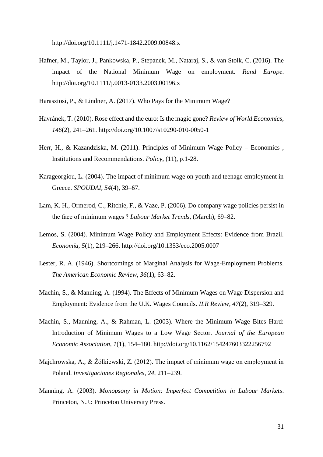http://doi.org/10.1111/j.1471-1842.2009.00848.x

Hafner, M., Taylor, J., Pankowska, P., Stepanek, M., Nataraj, S., & van Stolk, C. (2016). The impact of the National Minimum Wage on employment. *Rand Europe*. http://doi.org/10.1111/j.0013-0133.2003.00196.x

Harasztosi, P., & Lindner, A. (2017). Who Pays for the Minimum Wage?

- Havránek, T. (2010). Rose effect and the euro: Is the magic gone? *Review of World Economics*, *146*(2), 241–261. http://doi.org/10.1007/s10290-010-0050-1
- Herr, H., & Kazandziska, M. (2011). Principles of Minimum Wage Policy Economics , Institutions and Recommendations. *Policy*, (11), p.1-28.
- Karageorgiou, L. (2004). The impact of minimum wage on youth and teenage employment in Greece. *SPOUDAI*, *54*(4), 39–67.
- Lam, K. H., Ormerod, C., Ritchie, F., & Vaze, P. (2006). Do company wage policies persist in the face of minimum wages ? *Labour Market Trends*, (March), 69–82.
- Lemos, S. (2004). Minimum Wage Policy and Employment Effects: Evidence from Brazil. *Economía*, *5*(1), 219–266. http://doi.org/10.1353/eco.2005.0007
- Lester, R. A. (1946). Shortcomings of Marginal Analysis for Wage-Employment Problems. *The American Economic Review*, *36*(1), 63–82.
- Machin, S., & Manning, A. (1994). The Effects of Minimum Wages on Wage Dispersion and Employment: Evidence from the U.K. Wages Councils. *ILR Review*, *47*(2), 319–329.
- Machin, S., Manning, A., & Rahman, L. (2003). Where the Minimum Wage Bites Hard: Introduction of Minimum Wages to a Low Wage Sector. *Journal of the European Economic Association*, *1*(1), 154–180. http://doi.org/10.1162/154247603322256792
- Majchrowska, A., & Żółkiewski, Z. (2012). The impact of minimum wage on employment in Poland. *Investigaciones Regionales*, *24*, 211–239.
- Manning, A. (2003). *Monopsony in Motion: Imperfect Competition in Labour Markets*. Princeton, N.J.: Princeton University Press.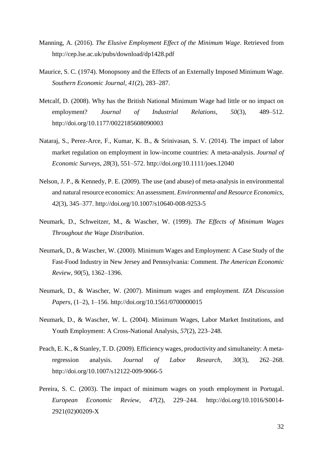- Manning, A. (2016). *The Elusive Employment Effect of the Minimum Wage*. Retrieved from http://cep.lse.ac.uk/pubs/download/dp1428.pdf
- Maurice, S. C. (1974). Monopsony and the Effects of an Externally Imposed Minimum Wage. *Southern Economic Journal*, *41*(2), 283–287.
- Metcalf, D. (2008). Why has the British National Minimum Wage had little or no impact on employment? *Journal of Industrial Relations*, *50*(3), 489–512. http://doi.org/10.1177/0022185608090003
- Nataraj, S., Perez-Arce, F., Kumar, K. B., & Srinivasan, S. V. (2014). The impact of labor market regulation on employment in low-income countries: A meta-analysis. *Journal of Economic Surveys*, *28*(3), 551–572. http://doi.org/10.1111/joes.12040
- Nelson, J. P., & Kennedy, P. E. (2009). The use (and abuse) of meta-analysis in environmental and natural resource economics: An assessment. *Environmental and Resource Economics*, *42*(3), 345–377. http://doi.org/10.1007/s10640-008-9253-5
- Neumark, D., Schweitzer, M., & Wascher, W. (1999). *The Effects of Minimum Wages Throughout the Wage Distribution*.
- Neumark, D., & Wascher, W. (2000). Minimum Wages and Employment: A Case Study of the Fast-Food Industry in New Jersey and Pennsylvania: Comment. *The American Economic Review*, *90*(5), 1362–1396.
- Neumark, D., & Wascher, W. (2007). Minimum wages and employment. *IZA Discussion Papers*, (1–2), 1–156. http://doi.org/10.1561/0700000015
- Neumark, D., & Wascher, W. L. (2004). Minimum Wages, Labor Market Institutions, and Youth Employment: A Cross-National Analysis, *57*(2), 223–248.
- Peach, E. K., & Stanley, T. D. (2009). Efficiency wages, productivity and simultaneity: A metaregression analysis. *Journal of Labor Research*, *30*(3), 262–268. http://doi.org/10.1007/s12122-009-9066-5
- Pereira, S. C. (2003). The impact of minimum wages on youth employment in Portugal. *European Economic Review*, *47*(2), 229–244. http://doi.org/10.1016/S0014- 2921(02)00209-X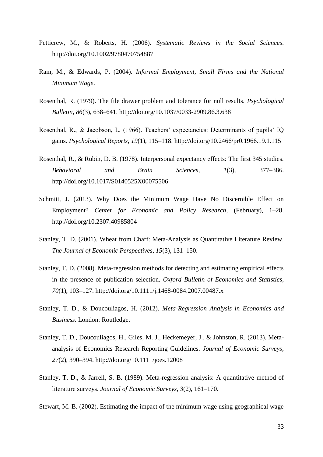- Petticrew, M., & Roberts, H. (2006). *Systematic Reviews in the Social Sciences*. http://doi.org/10.1002/9780470754887
- Ram, M., & Edwards, P. (2004). *Informal Employment, Small Firms and the National Minimum Wage*.
- Rosenthal, R. (1979). The file drawer problem and tolerance for null results. *Psychological Bulletin*, *86*(3), 638–641. http://doi.org/10.1037/0033-2909.86.3.638
- Rosenthal, R., & Jacobson, L. (1966). Teachers' expectancies: Determinants of pupils' IQ gains. *Psychological Reports*, *19*(1), 115–118. http://doi.org/10.2466/pr0.1966.19.1.115
- Rosenthal, R., & Rubin, D. B. (1978). Interpersonal expectancy effects: The first 345 studies. *Behavioral and Brain Sciences*, *1*(3), 377–386. http://doi.org/10.1017/S0140525X00075506
- Schmitt, J. (2013). Why Does the Minimum Wage Have No Discernible Effect on Employment? *Center for Economic and Policy Research*, (February), 1–28. http://doi.org/10.2307.40985804
- Stanley, T. D. (2001). Wheat from Chaff: Meta-Analysis as Quantitative Literature Review. *The Journal of Economic Perspectives*, *15*(3), 131–150.
- Stanley, T. D. (2008). Meta-regression methods for detecting and estimating empirical effects in the presence of publication selection. *Oxford Bulletin of Economics and Statistics*, *70*(1), 103–127. http://doi.org/10.1111/j.1468-0084.2007.00487.x
- Stanley, T. D., & Doucouliagos, H. (2012). *Meta-Regression Analysis in Economics and Business*. London: Routledge.
- Stanley, T. D., Doucouliagos, H., Giles, M. J., Heckemeyer, J., & Johnston, R. (2013). Metaanalysis of Economics Research Reporting Guidelines. *Journal of Economic Surveys*, *27*(2), 390–394. http://doi.org/10.1111/joes.12008
- Stanley, T. D., & Jarrell, S. B. (1989). Meta-regression analysis: A quantitative method of literature surveys. *Journal of Economic Surveys*, *3*(2), 161–170.

Stewart, M. B. (2002). Estimating the impact of the minimum wage using geographical wage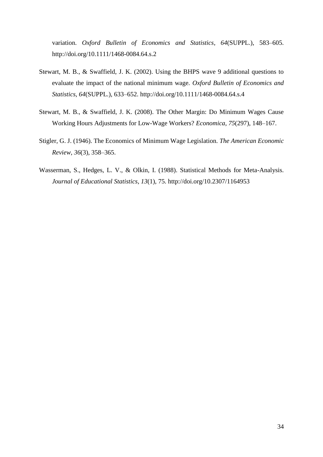variation. *Oxford Bulletin of Economics and Statistics*, *64*(SUPPL.), 583–605. http://doi.org/10.1111/1468-0084.64.s.2

- Stewart, M. B., & Swaffield, J. K. (2002). Using the BHPS wave 9 additional questions to evaluate the impact of the national minimum wage. *Oxford Bulletin of Economics and Statistics*, *64*(SUPPL.), 633–652. http://doi.org/10.1111/1468-0084.64.s.4
- Stewart, M. B., & Swaffield, J. K. (2008). The Other Margin: Do Minimum Wages Cause Working Hours Adjustments for Low-Wage Workers? *Economica*, *75*(297), 148–167.
- Stigler, G. J. (1946). The Economics of Minimum Wage Legislation. *The American Economic Review*, *36*(3), 358–365.
- Wasserman, S., Hedges, L. V., & Olkin, I. (1988). Statistical Methods for Meta-Analysis. *Journal of Educational Statistics*, *13*(1), 75. http://doi.org/10.2307/1164953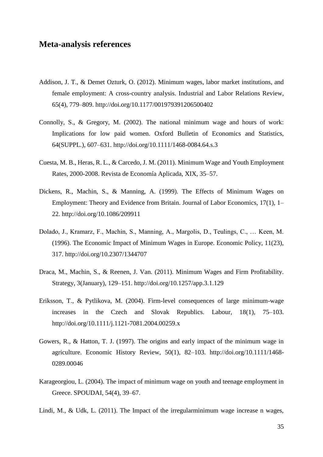## <span id="page-34-0"></span>**Meta-analysis references**

- Addison, J. T., & Demet Ozturk, O. (2012). Minimum wages, labor market institutions, and female employment: A cross-country analysis. Industrial and Labor Relations Review, 65(4), 779–809. http://doi.org/10.1177/001979391206500402
- Connolly, S., & Gregory, M. (2002). The national minimum wage and hours of work: Implications for low paid women. Oxford Bulletin of Economics and Statistics, 64(SUPPL.), 607–631. http://doi.org/10.1111/1468-0084.64.s.3
- Cuesta, M. B., Heras, R. L., & Carcedo, J. M. (2011). Minimum Wage and Youth Employment Rates, 2000-2008. Revista de Economía Aplicada, XIX, 35–57.
- Dickens, R., Machin, S., & Manning, A. (1999). The Effects of Minimum Wages on Employment: Theory and Evidence from Britain. Journal of Labor Economics, 17(1), 1– 22. http://doi.org/10.1086/209911
- Dolado, J., Kramarz, F., Machin, S., Manning, A., Margolis, D., Teulings, C., … Keen, M. (1996). The Economic Impact of Minimum Wages in Europe. Economic Policy, 11(23), 317. http://doi.org/10.2307/1344707
- Draca, M., Machin, S., & Reenen, J. Van. (2011). Minimum Wages and Firm Profitability. Strategy, 3(January), 129–151. http://doi.org/10.1257/app.3.1.129
- Eriksson, T., & Pytlikova, M. (2004). Firm-level consequences of large minimum-wage increases in the Czech and Slovak Republics. Labour, 18(1), 75–103. http://doi.org/10.1111/j.1121-7081.2004.00259.x
- Gowers, R., & Hatton, T. J. (1997). The origins and early impact of the minimum wage in agriculture. Economic History Review, 50(1), 82–103. http://doi.org/10.1111/1468- 0289.00046
- Karageorgiou, L. (2004). The impact of minimum wage on youth and teenage employment in Greece. SPOUDAI, 54(4), 39–67.
- Lindi, M., & Udk, L. (2011). The Impact of the irregularminimum wage increase n wages,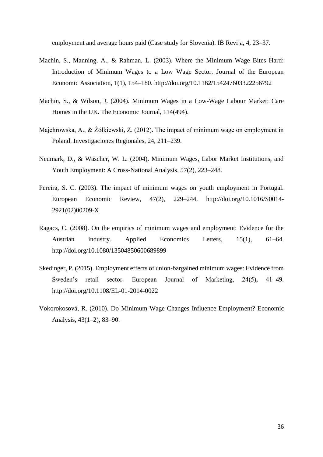employment and average hours paid (Case study for Slovenia). IB Revija, 4, 23–37.

- Machin, S., Manning, A., & Rahman, L. (2003). Where the Minimum Wage Bites Hard: Introduction of Minimum Wages to a Low Wage Sector. Journal of the European Economic Association, 1(1), 154–180. http://doi.org/10.1162/154247603322256792
- Machin, S., & Wilson, J. (2004). Minimum Wages in a Low-Wage Labour Market: Care Homes in the UK. The Economic Journal, 114(494).
- Majchrowska, A., & Żółkiewski, Z. (2012). The impact of minimum wage on employment in Poland. Investigaciones Regionales, 24, 211–239.
- Neumark, D., & Wascher, W. L. (2004). Minimum Wages, Labor Market Institutions, and Youth Employment: A Cross-National Analysis, 57(2), 223–248.
- Pereira, S. C. (2003). The impact of minimum wages on youth employment in Portugal. European Economic Review, 47(2), 229–244. http://doi.org/10.1016/S0014- 2921(02)00209-X
- Ragacs, C. (2008). On the empirics of minimum wages and employment: Evidence for the Austrian industry. Applied Economics Letters, 15(1), 61–64. http://doi.org/10.1080/13504850600689899
- Skedinger, P. (2015). Employment effects of union-bargained minimum wages: Evidence from Sweden's retail sector. European Journal of Marketing, 24(5), 41–49. http://doi.org/10.1108/EL-01-2014-0022
- Vokorokosová, R. (2010). Do Minimum Wage Changes Influence Employment? Economic Analysis, 43(1–2), 83–90.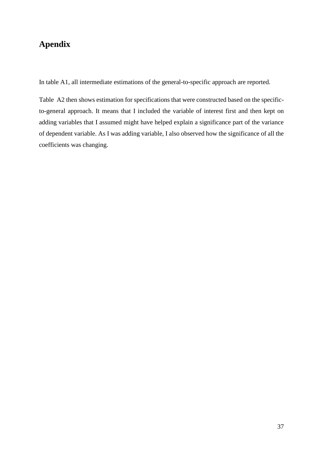# <span id="page-36-0"></span>**Apendix**

In table A1, all intermediate estimations of the general-to-specific approach are reported.

Table A2 then shows estimation for specifications that were constructed based on the specificto-general approach. It means that I included the variable of interest first and then kept on adding variables that I assumed might have helped explain a significance part of the variance of dependent variable. As I was adding variable, I also observed how the significance of all the coefficients was changing.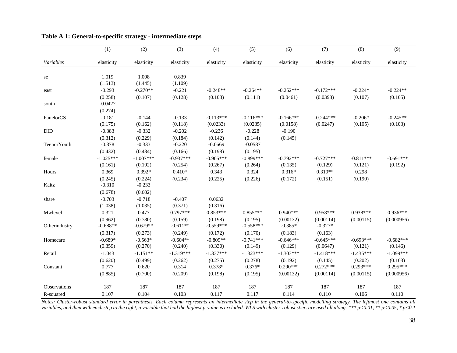|               | $\overline{(1)}$      | $\overline{(2)}$      | $\overline{(3)}$      | $\overline{(4)}$       | $\overline{(5)}$       | $\overline{(6)}$       | (7)                    | (8)                   | $\overline{(9)}$      |
|---------------|-----------------------|-----------------------|-----------------------|------------------------|------------------------|------------------------|------------------------|-----------------------|-----------------------|
| Variables     | elasticity            | elasticity            | elasticity            | elasticity             | elasticity             | elasticity             | elasticity             | elasticity            | elasticity            |
| se            | 1.019<br>(1.513)      | 1.008<br>(1.445)      | 0.839<br>(1.109)      |                        |                        |                        |                        |                       |                       |
| east          | $-0.293$              | $-0.270**$            | $-0.221$              | $-0.248**$             | $-0.264**$             | $-0.252***$            | $-0.172***$            | $-0.224*$             | $-0.224**$            |
| south         | (0.258)<br>$-0.0427$  | (0.107)               | (0.128)               | (0.108)                | (0.111)                | (0.0461)               | (0.0393)               | (0.107)               | (0.105)               |
|               | (0.274)               |                       |                       |                        |                        |                        |                        |                       |                       |
| PanelorCS     | $-0.181$              | $-0.144$              | $-0.133$              | $-0.113***$            | $-0.116***$            | $-0.166***$            | $-0.244***$            | $-0.206*$             | $-0.245**$            |
|               | (0.175)               | (0.162)               | (0.118)               | (0.0233)               | (0.0235)               | (0.0158)               | (0.0247)               | (0.105)               | (0.103)               |
| <b>DID</b>    | $-0.383$              | $-0.332$              | $-0.202$              | $-0.236$               | $-0.228$               | $-0.190$               |                        |                       |                       |
| TeenorYouth   | (0.312)<br>$-0.378$   | (0.229)<br>$-0.333$   | (0.184)<br>$-0.220$   | (0.142)<br>$-0.0669$   | (0.144)<br>$-0.0587$   | (0.145)                |                        |                       |                       |
|               | (0.432)               | (0.434)               | (0.166)               | (0.198)                | (0.195)                |                        |                        |                       |                       |
| female        | $-1.025***$           | $-1.007***$           | $-0.937***$           | $-0.905***$            | $-0.899***$            | $-0.792***$            | $-0.727***$            | $-0.811***$           | $-0.691***$           |
|               | (0.161)               | (0.192)               | (0.254)               | (0.267)                | (0.264)                | (0.135)                | (0.129)                | (0.121)               | (0.192)               |
| Hours         | 0.369                 | $0.392*$              | $0.410*$              | 0.343                  | 0.324                  | $0.316*$               | $0.319**$              | 0.298                 |                       |
|               | (0.245)               | (0.224)               | (0.234)               | (0.225)                | (0.226)                | (0.172)                | (0.151)                | (0.190)               |                       |
| Kaitz         | $-0.310$              | $-0.233$              |                       |                        |                        |                        |                        |                       |                       |
|               | (0.678)               | (0.602)               |                       |                        |                        |                        |                        |                       |                       |
| share         | $-0.703$              | $-0.718$              | $-0.407$              | 0.0632                 |                        |                        |                        |                       |                       |
|               | (1.038)               | (1.035)               | (0.371)               | (0.316)                |                        |                        |                        |                       |                       |
| Mwlevel       | 0.321                 | 0.477                 | $0.797***$            | $0.853***$             | $0.855***$             | $0.940***$             | $0.958***$             | $0.938***$            | $0.936***$            |
| Otherindustry | (0.962)<br>$-0.688**$ | (0.780)<br>$-0.679**$ | (0.159)<br>$-0.611**$ | (0.198)<br>$-0.559***$ | (0.195)<br>$-0.558***$ | (0.00132)<br>$-0.385*$ | (0.00114)<br>$-0.327*$ | (0.00115)             | (0.000956)            |
|               | (0.317)               | (0.273)               | (0.249)               | (0.172)                | (0.170)                | (0.183)                | (0.163)                |                       |                       |
| Homecare      | $-0.689*$             | $-0.563*$             | $-0.604**$            | $-0.809**$             | $-0.741***$            | $-0.646***$            | $-0.645***$            | $-0.693***$           | $-0.682***$           |
|               | (0.359)               | (0.270)               | (0.240)               | (0.330)                | (0.149)                | (0.129)                | (0.0647)               | (0.121)               | (0.146)               |
| Retail        | $-1.043$              | $-1.151**$            | $-1.319***$           | $-1.337***$            | $-1.323***$            | $-1.303***$            | $-1.418***$            | $-1.435***$           | $-1.099***$           |
| Constant      | (0.620)<br>0.777      | (0.499)<br>0.620      | (0.262)<br>0.314      | (0.275)<br>$0.378*$    | (0.278)<br>$0.376*$    | (0.192)<br>$0.290***$  | (0.145)<br>$0.272***$  | (0.202)<br>$0.293***$ | (0.103)<br>$0.295***$ |
|               | (0.885)               | (0.700)               | (0.209)               | (0.198)                | (0.195)                | (0.00132)              | (0.00114)              | (0.00115)             | (0.000956)            |
| Observations  | 187                   | 187                   | 187                   | 187                    | 187                    | 187                    | 187                    | 187                   | 187                   |
| R-squared     | 0.107                 | 0.104                 | 0.103                 | 0.117                  | 0.117                  | 0.114                  | 0.110                  | 0.106                 | 0.110                 |

#### **Table A 1: General-to-specific strategy - intermediate steps**

*Notes: Cluster-robust standard error in parenthesis. Each column represents an intermediate step in the general-to-specific modelling strategy. The leftmost one contains all variables, and then with each step to the right, a variable that had the highest p-value is excluded. WLS with cluster-robust st.er. are used all along. \*\*\* p<0.01, \*\* p<0.05, \* p<0.1*